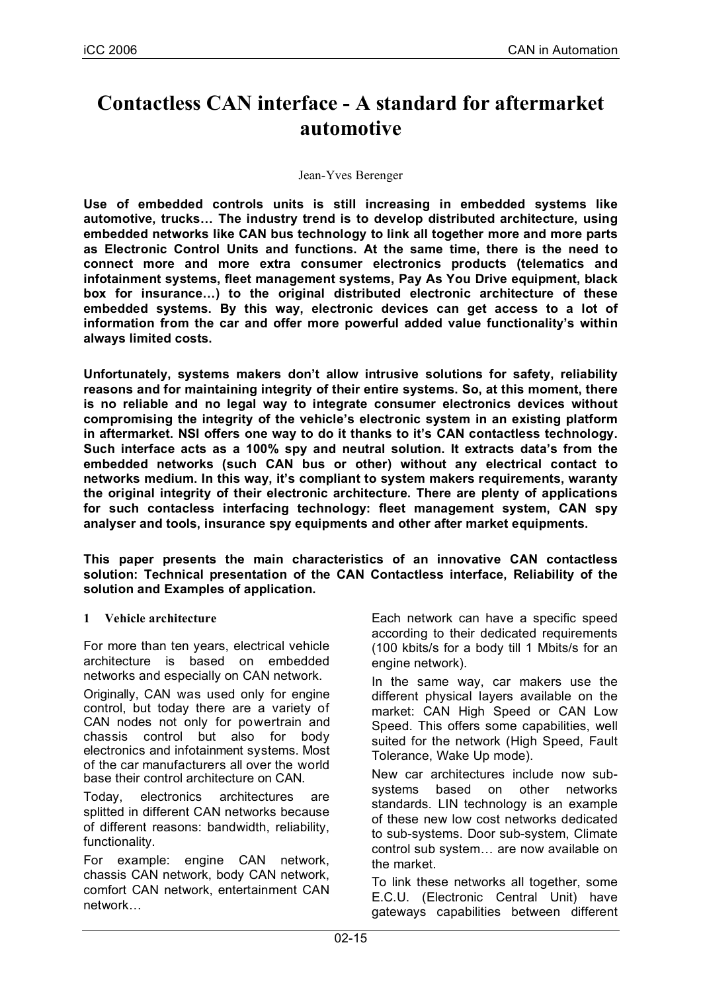# **Contactless CAN interface - A standard for aftermarket automotive**

#### Jean-Yves Berenger

**Use of embedded controls units is still increasing in embedded systems like automotive, trucks… The industry trend is to develop distributed architecture, using embedded networks like CAN bus technology to link all together more and more parts as Electronic Control Units and functions. At the same time, there is the need to connect more and more extra consumer electronics products (telematics and infotainment systems, fleet management systems, Pay As You Drive equipment, black box for insurance…) to the original distributed electronic architecture of these embedded systems. By this way, electronic devices can get access to a lot of information from the car and offer more powerful added value functionality's within always limited costs.**

**Unfortunately, systems makers don't allow intrusive solutions for safety, reliability reasons and for maintaining integrity of their entire systems. So, at this moment, there is no reliable and no legal way to integrate consumer electronics devices without compromising the integrity of the vehicle's electronic system in an existing platform in aftermarket. NSI offers one way to do it thanks to it's CAN contactless technology. Such interface acts as a 100% spy and neutral solution. It extracts data's from the embedded networks (such CAN bus or other) without any electrical contact to networks medium. In this way, it's compliant to system makers requirements, waranty the original integrity of their electronic architecture. There are plenty of applications for such contacless interfacing technology: fleet management system, CAN spy analyser and tools, insurance spy equipments and other after market equipments.**

**This paper presents the main characteristics of an innovative CAN contactless solution: Technical presentation of the CAN Contactless interface, Reliability of the solution and Examples of application.**

## **1 Vehicle architecture**

For more than ten years, electrical vehicle architecture is based on embedded networks and especially on CAN network.

Originally, CAN was used only for engine control, but today there are a variety of CAN nodes not only for powertrain and chassis control but also for body electronics and infotainment systems. Most of the car manufacturers all over the world base their control architecture on CAN.

Today, electronics architectures are splitted in different CAN networks because of different reasons: bandwidth, reliability, functionality.

For example: engine CAN network, chassis CAN network, body CAN network, comfort CAN network, entertainment CAN network…

Each network can have a specific speed according to their dedicated requirements (100 kbits/s for a body till 1 Mbits/s for an engine network).

In the same way, car makers use the different physical layers available on the market: CAN High Speed or CAN Low Speed. This offers some capabilities, well suited for the network (High Speed, Fault Tolerance, Wake Up mode).

New car architectures include now subsystems based on other networks standards. LIN technology is an example of these new low cost networks dedicated to sub-systems. Door sub-system, Climate control sub system… are now available on the market.

To link these networks all together, some E.C.U. (Electronic Central Unit) have gateways capabilities between different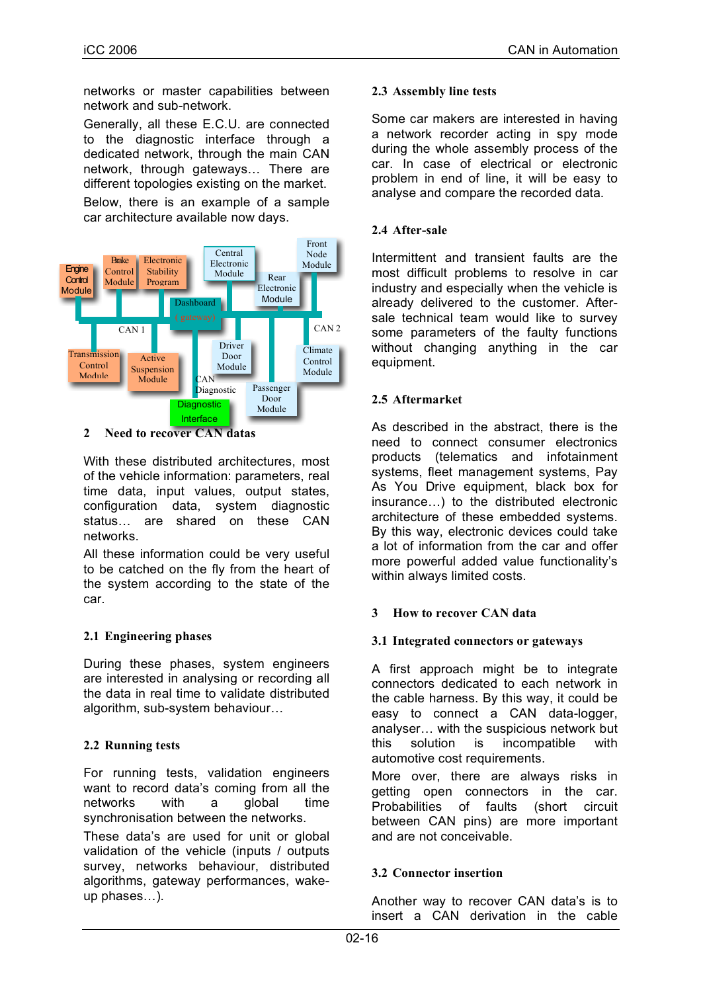networks or master capabilities between network and sub-network.

Generally, all these E.C.U. are connected to the diagnostic interface through a dedicated network, through the main CAN network, through gateways… There are different topologies existing on the market. Below, there is an example of a sample car architecture available now days.



**2 Need to recover CAN datas**

With these distributed architectures, most of the vehicle information: parameters, real time data, input values, output states, configuration data, system diagnostic status… are shared on these CAN networks.

All these information could be very useful to be catched on the fly from the heart of the system according to the state of the car.

# **2.1 Engineering phases**

During these phases, system engineers are interested in analysing or recording all the data in real time to validate distributed algorithm, sub-system behaviour…

# **2.2 Running tests**

For running tests, validation engineers want to record data's coming from all the networks with a global time synchronisation between the networks.

These data's are used for unit or global validation of the vehicle (inputs / outputs survey, networks behaviour, distributed algorithms, gateway performances, wakeup phases…).

## **2.3 Assembly line tests**

Some car makers are interested in having a network recorder acting in spy mode during the whole assembly process of the car. In case of electrical or electronic problem in end of line, it will be easy to analyse and compare the recorded data.

# **2.4 After-sale**

Intermittent and transient faults are the most difficult problems to resolve in car industry and especially when the vehicle is already delivered to the customer. Aftersale technical team would like to survey some parameters of the faulty functions without changing anything in the car equipment.

# **2.5 Aftermarket**

As described in the abstract, there is the need to connect consumer electronics products (telematics and infotainment systems, fleet management systems, Pay As You Drive equipment, black box for insurance…) to the distributed electronic architecture of these embedded systems. By this way, electronic devices could take a lot of information from the car and offer more powerful added value functionality's within always limited costs.

# **3 How to recover CAN data**

# **3.1 Integrated connectors or gateways**

A first approach might be to integrate connectors dedicated to each network in the cable harness. By this way, it could be easy to connect a CAN data-logger, analyser… with the suspicious network but this solution is incompatible with automotive cost requirements.

More over, there are always risks in getting open connectors in the car. Probabilities of faults (short circuit between CAN pins) are more important and are not conceivable.

# **3.2 Connector insertion**

Another way to recover CAN data's is to insert a CAN derivation in the cable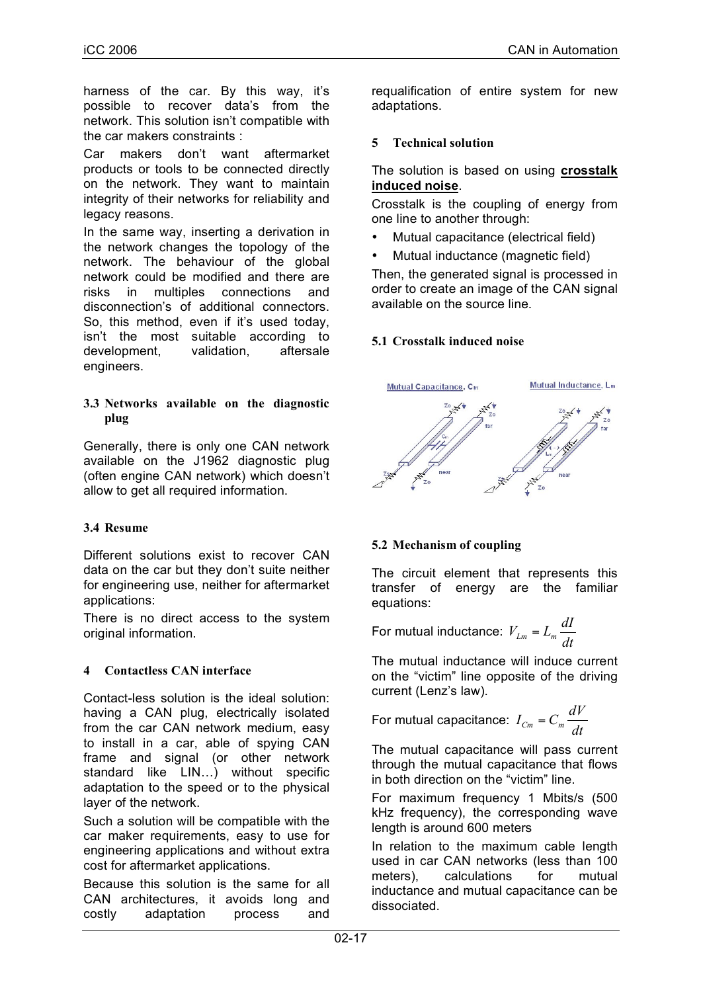harness of the car. By this way, it's possible to recover data's from the network. This solution isn't compatible with the car makers constraints :

Car makers don't want aftermarket products or tools to be connected directly on the network. They want to maintain integrity of their networks for reliability and legacy reasons.

In the same way, inserting a derivation in the network changes the topology of the network. The behaviour of the global network could be modified and there are risks in multiples connections and disconnection's of additional connectors. So, this method, even if it's used today, isn't the most suitable according to development, validation, aftersale engineers.

## **3.3 Networks available on the diagnostic plug**

Generally, there is only one CAN network available on the J1962 diagnostic plug (often engine CAN network) which doesn't allow to get all required information.

## **3.4 Resume**

Different solutions exist to recover CAN data on the car but they don't suite neither for engineering use, neither for aftermarket applications:

There is no direct access to the system original information.

## **4 Contactless CAN interface**

Contact-less solution is the ideal solution: having a CAN plug, electrically isolated from the car CAN network medium, easy to install in a car, able of spying CAN frame and signal (or other network standard like LIN...) without specific adaptation to the speed or to the physical layer of the network.

Such a solution will be compatible with the car maker requirements, easy to use for engineering applications and without extra cost for aftermarket applications.

Because this solution is the same for all CAN architectures, it avoids long and costly adaptation process and

requalification of entire system for new adaptations.

## **5 Technical solution**

## The solution is based on using **crosstalk induced noise**.

Crosstalk is the coupling of energy from one line to another through:

- Mutual capacitance (electrical field)
- Mutual inductance (magnetic field)

Then, the generated signal is processed in order to create an image of the CAN signal available on the source line.

## **5.1 Crosstalk induced noise**



# **5.2 Mechanism of coupling**

The circuit element that represents this transfer of energy are the familiar equations:

For mutual inductance: 
$$
V_{Lm} = L_m \frac{dI}{dt}
$$

The mutual inductance will induce current on the "victim" line opposite of the driving current (Lenz's law).

For mutual capacitance: 
$$
I_{C_m} = C_m \frac{dV}{dt}
$$

The mutual capacitance will pass current through the mutual capacitance that flows in both direction on the "victim" line.

For maximum frequency 1 Mbits/s (500 kHz frequency), the corresponding wave length is around 600 meters

In relation to the maximum cable length used in car CAN networks (less than 100 meters), calculations for mutual inductance and mutual capacitance can be dissociated.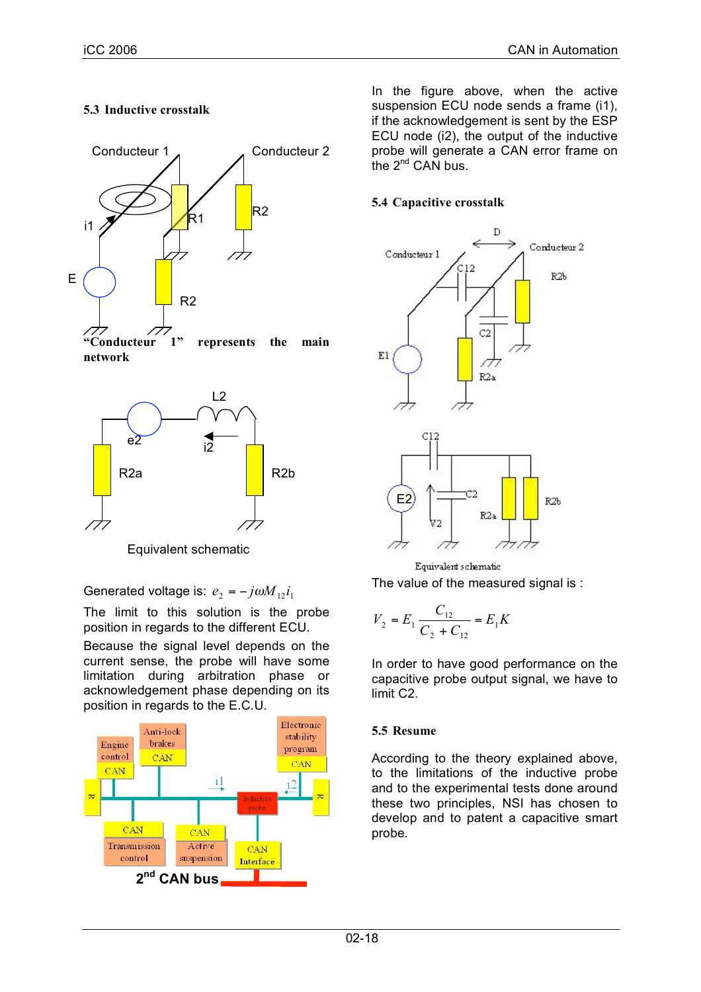## **5.3 Inductive crosstalk**



**"Conducteur 1" represents the main network** 



Equivalent schematic

Generated voltage is:  $e_2 = -j\omega M_{12}i_1$ 

The limit to this solution is the probe position in regards to the different ECU.

Because the signal level depends on the current sense, the probe will have some limitation during arbitration phase or acknowledgement phase depending on its position in regards to the E.C.U.



In the figure above, when the active suspension ECU node sends a frame (i1), if the acknowledgement is sent by the ESP ECU node (i2), the output of the inductive probe will generate a CAN error frame on the  $2^{nd}$  CAN bus.

## **5.4 Capacitive crosstalk**



Equivalent schematic

The value of the measured signal is :

$$
V_2 = E_1 \frac{C_{12}}{C_2 + C_{12}} = E_1 K
$$

In order to have good performance on the capacitive probe output signal, we have to limit C2.

## **5.5 Resume**

According to the theory explained above, to the limitations of the inductive probe and to the experimental tests done around these two principles, NSI has chosen to develop and to patent a capacitive smart probe.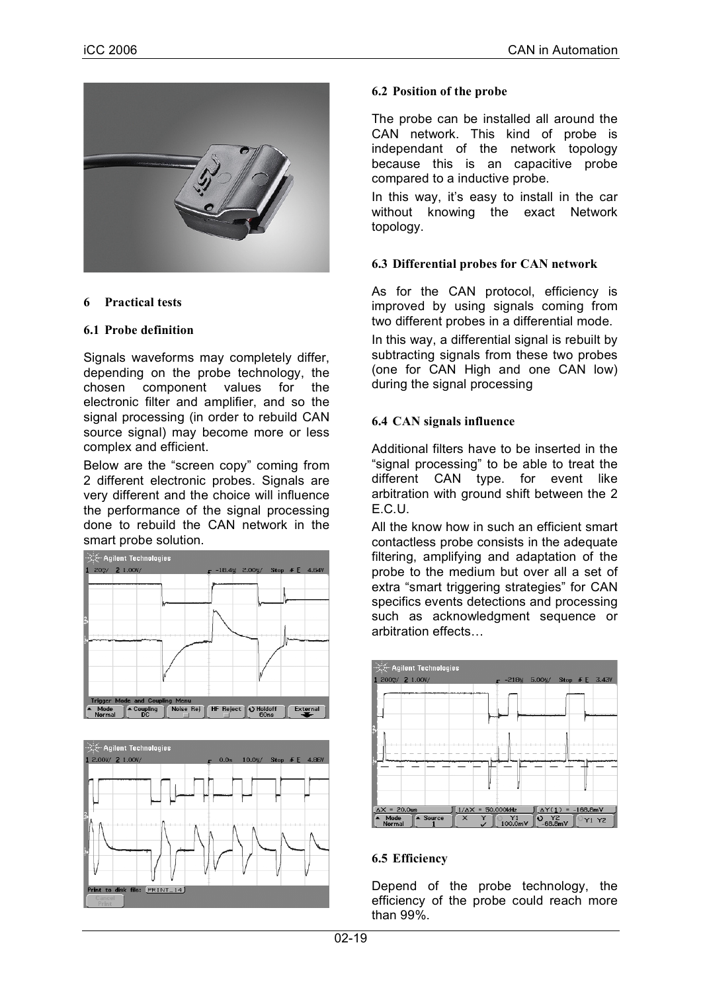

## **6 Practical tests**

## **6.1 Probe definition**

Signals waveforms may completely differ, depending on the probe technology, the chosen component values for the electronic filter and amplifier, and so the signal processing (in order to rebuild CAN source signal) may become more or less complex and efficient.

Below are the "screen copy" coming from 2 different electronic probes. Signals are very different and the choice will influence the performance of the signal processing done to rebuild the CAN network in the smart probe solution.





#### **6.2 Position of the probe**

The probe can be installed all around the CAN network. This kind of probe is independant of the network topology because this is an capacitive probe compared to a inductive probe.

In this way, it's easy to install in the car without knowing the exact Network topology.

## **6.3 Differential probes for CAN network**

As for the CAN protocol, efficiency is improved by using signals coming from two different probes in a differential mode.

In this way, a differential signal is rebuilt by subtracting signals from these two probes (one for CAN High and one CAN low) during the signal processing

#### **6.4 CAN signals influence**

Additional filters have to be inserted in the "signal processing" to be able to treat the different CAN type. for event like arbitration with ground shift between the 2 E.C.U.

All the know how in such an efficient smart contactless probe consists in the adequate filtering, amplifying and adaptation of the probe to the medium but over all a set of extra "smart triggering strategies" for CAN specifics events detections and processing such as acknowledgment sequence or arbitration effects…



## **6.5 Efficiency**

Depend of the probe technology, the efficiency of the probe could reach more than 99%.